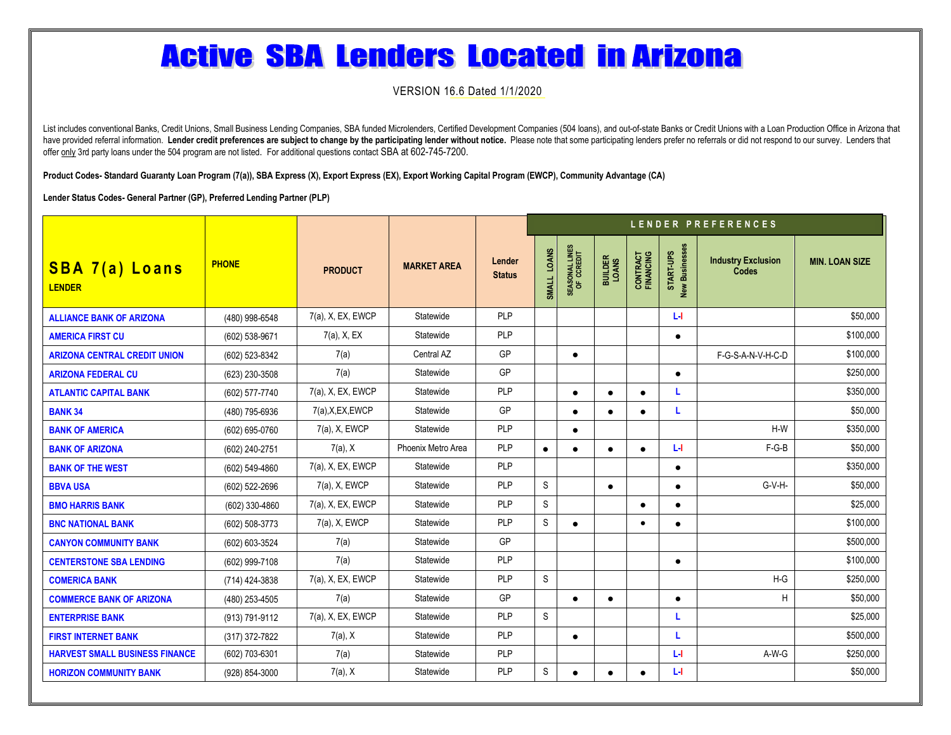# **Active SBA Lenders Located in Arizona**

VERSION 16.6 Dated 1/1/2020

List includes conventional Banks, Credit Unions, Small Business Lending Companies, SBA funded Microlenders, Certified Development Companies (504 Ioans), and out-of-state Banks or Credit Unions with a Loan Production Office have provided referral information. Lender credit preferences are subject to change by the participating lender without notice. Please note that some participating lenders prefer no referrals or did not respond to our surv offer only 3rd party loans under the 504 program are not listed. For additional questions contact SBA at 602-745-7200.

**Product Codes- Standard Guaranty Loan Program (7(a)), SBA Express (X), Export Express (EX), Export Working Capital Program (EWCP), Community Advantage (CA)**

**Lender Status Codes- General Partner (GP), Preferred Lending Partner (PLP)**

|                                        |                |                   |                    |                         | LENDER PREFERENCES |                              |                         |                       |                             |                                           |                       |  |
|----------------------------------------|----------------|-------------------|--------------------|-------------------------|--------------------|------------------------------|-------------------------|-----------------------|-----------------------------|-------------------------------------------|-----------------------|--|
| <b>SBA 7(a) Loans</b><br><b>LENDER</b> | <b>PHONE</b>   | <b>PRODUCT</b>    | <b>MARKET AREA</b> | Lender<br><b>Status</b> | SMALL LOANS        | SEASONAL LINES<br>OF CCREDIT | <b>BUILDER</b><br>LOANS | CONTRACT<br>FINANCING | START-UPS<br>New Businesses | <b>Industry Exclusion</b><br><b>Codes</b> | <b>MIN. LOAN SIZE</b> |  |
| <b>ALLIANCE BANK OF ARIZONA</b>        | (480) 998-6548 | 7(a), X, EX, EWCP | Statewide          | PLP                     |                    |                              |                         |                       | Ъł                          |                                           | \$50,000              |  |
| <b>AMERICA FIRST CU</b>                | (602) 538-9671 | $7(a)$ , X, EX    | Statewide          | PLP                     |                    |                              |                         |                       | $\bullet$                   |                                           | \$100,000             |  |
| <b>ARIZONA CENTRAL CREDIT UNION</b>    | (602) 523-8342 | 7(a)              | Central AZ         | <b>GP</b>               |                    | $\bullet$                    |                         |                       |                             | F-G-S-A-N-V-H-C-D                         | \$100,000             |  |
| <b>ARIZONA FEDERAL CU</b>              | (623) 230-3508 | 7(a)              | Statewide          | GP                      |                    |                              |                         |                       | $\bullet$                   |                                           | \$250,000             |  |
| <b>ATLANTIC CAPITAL BANK</b>           | (602) 577-7740 | 7(a), X, EX, EWCP | Statewide          | PLP                     |                    | $\bullet$                    | $\bullet$               | $\bullet$             | L                           |                                           | \$350,000             |  |
| <b>BANK 34</b>                         | (480) 795-6936 | 7(a), X, EX, EWCP | Statewide          | GP                      |                    | $\bullet$                    | $\bullet$               | $\bullet$             | L                           |                                           | \$50,000              |  |
| <b>BANK OF AMERICA</b>                 | (602) 695-0760 | 7(a), X, EWCP     | Statewide          | PLP                     |                    | $\bullet$                    |                         |                       |                             | $H-W$                                     | \$350,000             |  |
| <b>BANK OF ARIZONA</b>                 | (602) 240-2751 | 7(a), X           | Phoenix Metro Area | PLP                     | $\bullet$          | $\bullet$                    | $\bullet$               | $\bullet$             | <b>L4</b>                   | $F-G-B$                                   | \$50,000              |  |
| <b>BANK OF THE WEST</b>                | (602) 549-4860 | 7(a), X, EX, EWCP | Statewide          | PLP                     |                    |                              |                         |                       | $\bullet$                   |                                           | \$350,000             |  |
| <b>BBVA USA</b>                        | (602) 522-2696 | $7(a)$ , X, EWCP  | Statewide          | PLP                     | S                  |                              | $\bullet$               |                       | $\bullet$                   | G-V-H-                                    | \$50,000              |  |
| <b>BMO HARRIS BANK</b>                 | (602) 330-4860 | 7(a), X, EX, EWCP | Statewide          | PLP                     | $\mathbb S$        |                              |                         | $\bullet$             | $\bullet$                   |                                           | \$25,000              |  |
| <b>BNC NATIONAL BANK</b>               | (602) 508-3773 | $7(a)$ , X, EWCP  | Statewide          | PLP                     | $\mathbb S$        | $\bullet$                    |                         | $\bullet$             | $\bullet$                   |                                           | \$100,000             |  |
| <b>CANYON COMMUNITY BANK</b>           | (602) 603-3524 | 7(a)              | Statewide          | GP                      |                    |                              |                         |                       |                             |                                           | \$500.000             |  |
| <b>CENTERSTONE SBA LENDING</b>         | (602) 999-7108 | 7(a)              | Statewide          | PLP                     |                    |                              |                         |                       | $\bullet$                   |                                           | \$100,000             |  |
| <b>COMERICA BANK</b>                   | (714) 424-3838 | 7(a), X, EX, EWCP | Statewide          | PLP                     | $\mathbb S$        |                              |                         |                       |                             | $H-G$                                     | \$250,000             |  |
| <b>COMMERCE BANK OF ARIZONA</b>        | (480) 253-4505 | 7(a)              | Statewide          | <b>GP</b>               |                    | $\bullet$                    | $\bullet$               |                       | $\bullet$                   | н                                         | \$50,000              |  |
| <b>ENTERPRISE BANK</b>                 | (913) 791-9112 | 7(a), X, EX, EWCP | Statewide          | PLP                     | S                  |                              |                         |                       | L                           |                                           | \$25,000              |  |
| <b>FIRST INTERNET BANK</b>             | (317) 372-7822 | $7(a)$ , X        | Statewide          | PLP                     |                    | $\bullet$                    |                         |                       | L                           |                                           | \$500.000             |  |
| <b>HARVEST SMALL BUSINESS FINANCE</b>  | (602) 703-6301 | 7(a)              | Statewide          | PLP                     |                    |                              |                         |                       | <b>L</b>                    | A-W-G                                     | \$250,000             |  |
| <b>HORIZON COMMUNITY BANK</b>          | (928) 854-3000 | $7(a)$ , X        | Statewide          | PLP                     | S                  | $\bullet$                    | $\bullet$               | $\bullet$             | Ъł                          |                                           | \$50,000              |  |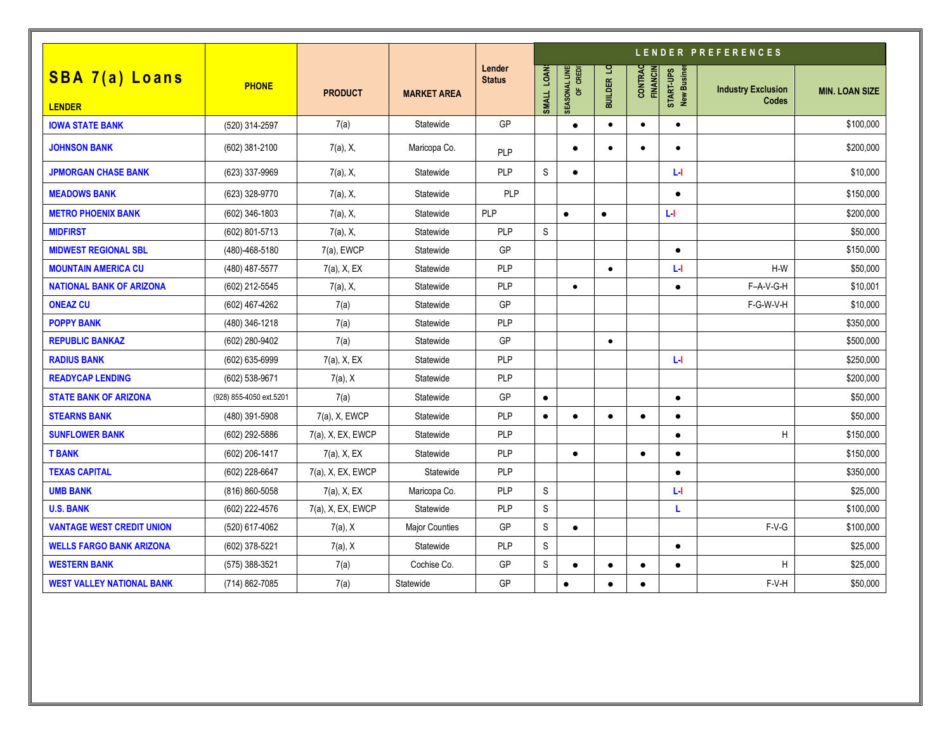|                                        |                         |                   |                       |                         | LENDER PREFERENCES |                                          |            |                            |                          |                                           |                       |
|----------------------------------------|-------------------------|-------------------|-----------------------|-------------------------|--------------------|------------------------------------------|------------|----------------------------|--------------------------|-------------------------------------------|-----------------------|
| <b>SBA 7(a) Loans</b><br><b>LENDER</b> | <b>PHONE</b>            | <b>PRODUCT</b>    | <b>MARKET AREA</b>    | Lender<br><b>Status</b> | SMALL LOAN         | SEASONAL LINE<br>CREDI<br>$\overline{5}$ | BUILDER LO | CONTRAC<br><b>FINANCIN</b> | START-UPS<br>New Busines | <b>Industry Exclusion</b><br><b>Codes</b> | <b>MIN. LOAN SIZE</b> |
| <b>IOWA STATE BANK</b>                 | (520) 314-2597          | 7(a)              | Statewide             | <b>GP</b>               |                    | $\bullet$                                | $\bullet$  | $\bullet$                  | $\bullet$                |                                           | \$100,000             |
| <b>JOHNSON BANK</b>                    | (602) 381-2100          | $7(a)$ , X,       | Maricopa Co.          | <b>PLP</b>              |                    | $\bullet$                                | $\bullet$  | $\bullet$                  | $\bullet$                |                                           | \$200,000             |
| <b>JPMORGAN CHASE BANK</b>             | (623) 337-9969          | $7(a)$ , X,       | Statewide             | <b>PLP</b>              | S                  | $\bullet$                                |            |                            | ы                        |                                           | \$10,000              |
| <b>MEADOWS BANK</b>                    | (623) 328-9770          | $7(a)$ , X,       | Statewide             | <b>PLP</b>              |                    |                                          |            |                            | $\bullet$                |                                           | \$150,000             |
| <b>METRO PHOENIX BANK</b>              | (602) 346-1803          | $7(a)$ , X,       | Statewide             | <b>PLP</b>              |                    | $\bullet$                                | $\bullet$  |                            | ы                        |                                           | \$200,000             |
| <b>MIDFIRST</b>                        | (602) 801-5713          | $7(a)$ , X,       | Statewide             | <b>PLP</b>              | S                  |                                          |            |                            |                          |                                           | \$50,000              |
| <b>MIDWEST REGIONAL SBL</b>            | (480)-468-5180          | 7(a), EWCP        | Statewide             | <b>GP</b>               |                    |                                          |            |                            | $\bullet$                |                                           | \$150,000             |
| <b>MOUNTAIN AMERICA CU</b>             | (480) 487-5577          | 7(a), X, EX       | Statewide             | <b>PLP</b>              |                    |                                          | $\bullet$  |                            | ы                        | $H-W$                                     | \$50,000              |
| <b>NATIONAL BANK OF ARIZONA</b>        | (602) 212-5545          | $7(a)$ , X,       | Statewide             | PLP                     |                    | $\bullet$                                |            |                            | $\bullet$                | F-A-V-G-H                                 | \$10,001              |
| <b>ONEAZ CU</b>                        | (602) 467-4262          | 7(a)              | Statewide             | <b>GP</b>               |                    |                                          |            |                            |                          | F-G-W-V-H                                 | \$10,000              |
| <b>POPPY BANK</b>                      | (480) 346-1218          | 7(a)              | Statewide             | PLP                     |                    |                                          |            |                            |                          |                                           | \$350,000             |
| <b>REPUBLIC BANKAZ</b>                 | (602) 280-9402          | 7(a)              | Statewide             | GP                      |                    |                                          | $\bullet$  |                            |                          |                                           | \$500,000             |
| <b>RADIUS BANK</b>                     | (602) 635-6999          | 7(a), X, EX       | Statewide             | PLP                     |                    |                                          |            |                            | ĿГ                       |                                           | \$250,000             |
| <b>READYCAP LENDING</b>                | (602) 538-9671          | 7(a), X           | Statewide             | <b>PLP</b>              |                    |                                          |            |                            |                          |                                           | \$200,000             |
| <b>STATE BANK OF ARIZONA</b>           | (928) 855-4050 ext.5201 | 7(a)              | Statewide             | GP                      | $\bullet$          |                                          |            |                            | $\bullet$                |                                           | \$50,000              |
| <b>STEARNS BANK</b>                    | (480) 391-5908          | 7(a), X, EWCP     | Statewide             | <b>PLP</b>              | $\bullet$          | $\bullet$                                | $\bullet$  | $\bullet$                  | $\bullet$                |                                           | \$50,000              |
| <b>SUNFLOWER BANK</b>                  | (602) 292-5886          | 7(a), X, EX, EWCP | Statewide             | PLP                     |                    |                                          |            |                            | $\bullet$                | Н                                         | \$150,000             |
| <b>T BANK</b>                          | (602) 206-1417          | 7(a), X, EX       | Statewide             | <b>PLP</b>              |                    | $\bullet$                                |            | $\bullet$                  | $\bullet$                |                                           | \$150,000             |
| <b>TEXAS CAPITAL</b>                   | (602) 228-6647          | 7(a), X, EX, EWCP | Statewide             | <b>PLP</b>              |                    |                                          |            |                            | $\bullet$                |                                           | \$350,000             |
| <b>UMB BANK</b>                        | (816) 860-5058          | 7(a), X, EX       | Maricopa Co.          | PLP                     | $\mathbb S$        |                                          |            |                            | ы                        |                                           | \$25,000              |
| <b>U.S. BANK</b>                       | (602) 222-4576          | 7(a), X, EX, EWCP | Statewide             | <b>PLP</b>              | S                  |                                          |            |                            | L                        |                                           | \$100,000             |
| <b>VANTAGE WEST CREDIT UNION</b>       | (520) 617-4062          | $7(a)$ , X        | <b>Major Counties</b> | <b>GP</b>               | $\mathbb S$        | $\bullet$                                |            |                            |                          | $F-V-G$                                   | \$100,000             |
| <b>WELLS FARGO BANK ARIZONA</b>        | (602) 378-5221          | $7(a)$ , X        | Statewide             | <b>PLP</b>              | S                  |                                          |            |                            | $\bullet$                |                                           | \$25,000              |
| <b>WESTERN BANK</b>                    | (575) 388-3521          | 7(a)              | Cochise Co.           | GP                      | S                  | $\bullet$                                | $\bullet$  | $\bullet$                  | $\bullet$                | Η                                         | \$25,000              |
| <b>WEST VALLEY NATIONAL BANK</b>       | (714) 862-7085          | 7(a)              | Statewide             | GP                      |                    | $\bullet$                                | $\bullet$  | $\bullet$                  |                          | F-V-H                                     | \$50,000              |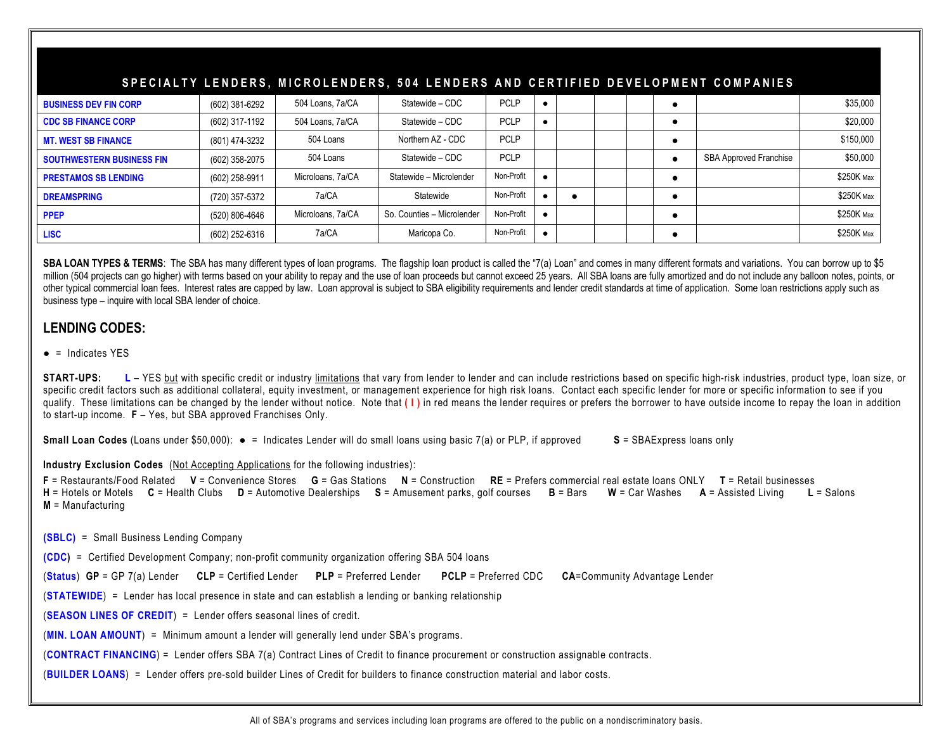# **SPECIALTY LENDERS, MICROLENDERS, 504 LENDERS AND CERTIFIED DEVELOPMENT COMPANIES BUSINESS DEV FIN CORP | (602) 381-6292 | 504 Loans, 7a/CA | Statewide – CDC | PCLP | ● | | ● | \$35,000 CDC SB FINANCE CORP | (602)** 317-1192 | 504 Loans, 7a/CA | Statewide – CDC | PCLP | ● | | ● | \$20,000 **MT. WEST SB FINANCE | (8**01) 474-3232 | 504 Loans | Northern AZ - CDC | PCLP | | ● | \$150,000 **SOUTHWESTERN BUSINESS FIN**  $(602)$  358-2075 504 Loans Statewide – CDC PCLP PCLP **PCLP PCLP BUSINESS FIN** \$50,000 **PRESTAMOS SB LENDING BLENDING CO2) 258-9911 Microloans, 7a/CA** Statewide – Microlender Non-Profit │ ● | | | ● | ● | ● | \$250K Max **DREAMSPRING** (720) 357-5372 7a/CA Statewide Non-Profit ● ● ● \$250K Max **PPEP** (520) 806-4646 Microloans, 7a/CA So. Counties – Microlender Non-Profit ● ● \$250K Max LI**SC |** (602) 252-6316 **| 7a/CA | Maricopa Co. | Non-Profit | ● | | ● | \$250K мax**

SBA LOAN TYPES & TERMS: The SBA has many different types of loan programs. The flagship loan product is called the "7(a) Loan" and comes in many different formats and variations. You can borrow up to \$5 million (504 projects can go higher) with terms based on your ability to repay and the use of loan proceeds but cannot exceed 25 years. All SBA loans are fully amortized and do not include any balloon notes, points, or other typical commercial loan fees. Interest rates are capped by law. Loan approval is subject to SBA eligibility requirements and lender credit standards at time of application. Some loan restrictions apply such as business type – inquire with local SBA lender of choice.

## **LENDING CODES:**

### $\bullet$  = Indicates YES

**START-UPS:** L – YES but with specific credit or industry limitations that vary from lender to lender and can include restrictions based on specific high-risk industries, product type, loan size, or specific credit factors such as additional collateral, equity investment, or management experience for high risk loans. Contact each specific lender for more or specific information to see if you qualify. These limitations can be changed by the lender without notice. Note that **( I )** in red means the lender requires or prefers the borrower to have outside income to repay the loan in addition to start-up income. **F** – Yes, but SBA approved Franchises Only.

**Small Loan Codes** (Loans under \$50,000): ● = Indicates Lender will do small loans using basic 7(a) or PLP, if approved **S** = SBAExpress loans only

#### **Industry Exclusion Codes** (Not Accepting Applications for the following industries):

**F** = Restaurants/Food Related **V** = Convenience Stores **G** = Gas Stations **N** = Construction **RE** = Prefers commercial real estate loans ONLY **T** = Retail businesses **H** = Hotels or Motels **C** = Health Clubs **D** = Automotive Dealerships **S** = Amusement parks, golf courses **B** = Bars **W** = Car Washes **A** = Assisted Living **L** = Salons **M** = Manufacturing

**(SBLC)** = Small Business Lending Company

**(CDC)** = Certified Development Company; non-profit community organization offering SBA 504 loans

(**Status**) **GP** = GP 7(a) Lender **CLP** = Certified Lender **PLP** = Preferred Lender **PCLP** = Preferred CDC **CA**=Community Advantage Lender

(**STATEWIDE**) = Lender has local presence in state and can establish a lending or banking relationship

(**SEASON LINES OF CREDIT**) = Lender offers seasonal lines of credit.

(**MIN. LOAN AMOUNT**) = Minimum amount a lender will generally lend under SBA's programs.

(**CONTRACT FINANCING**) = Lender offers SBA 7(a) Contract Lines of Credit to finance procurement or construction assignable contracts.

(**BUILDER LOANS**) = Lender offers pre-sold builder Lines of Credit for builders to finance construction material and labor costs.